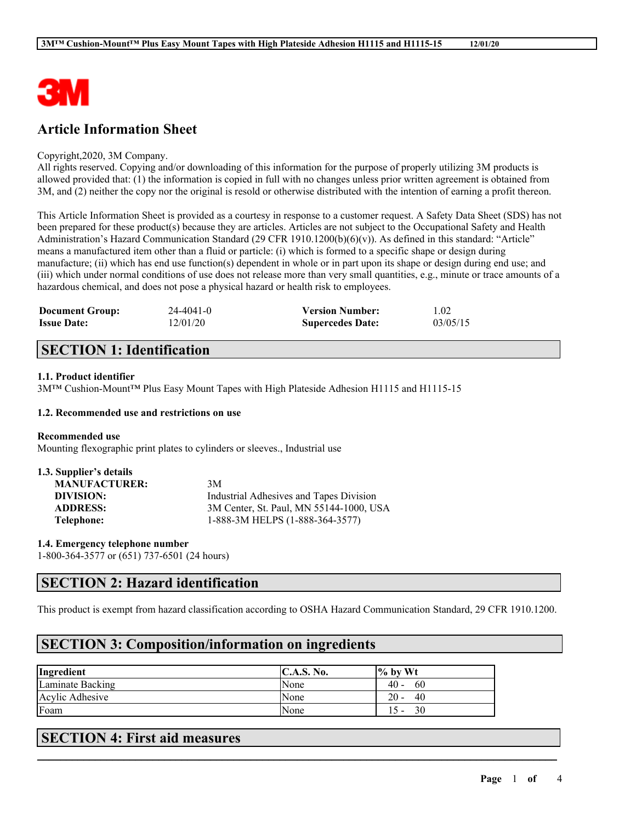

# **Article Information Sheet**

#### Copyright,2020, 3M Company.

All rights reserved. Copying and/or downloading of this information for the purpose of properly utilizing 3M products is allowed provided that: (1) the information is copied in full with no changes unless prior written agreement is obtained from 3M, and (2) neither the copy nor the original is resold or otherwise distributed with the intention of earning a profit thereon.

This Article Information Sheet is provided as a courtesy in response to a customer request. A Safety Data Sheet (SDS) has not been prepared for these product(s) because they are articles. Articles are not subject to the Occupational Safety and Health Administration's Hazard Communication Standard (29 CFR 1910.1200(b)(6)(v)). As defined in this standard: "Article" means a manufactured item other than a fluid or particle: (i) which is formed to a specific shape or design during manufacture; (ii) which has end use function(s) dependent in whole or in part upon its shape or design during end use; and (iii) which under normal conditions of use does not release more than very small quantities, e.g., minute or trace amounts of a hazardous chemical, and does not pose a physical hazard or health risk to employees.

| <b>Document Group:</b> | 24-4041-0 | <b>Version Number:</b>  | 1.02     |
|------------------------|-----------|-------------------------|----------|
| <b>Issue Date:</b>     | 12/01/20  | <b>Supercedes Date:</b> | 03/05/15 |

## **SECTION 1: Identification**

### **1.1. Product identifier**

3M™ Cushion-Mount™ Plus Easy Mount Tapes with High Plateside Adhesion H1115 and H1115-15

#### **1.2. Recommended use and restrictions on use**

#### **Recommended use**

Mounting flexographic print plates to cylinders or sleeves., Industrial use

| 1.3. Supplier's details |                                         |
|-------------------------|-----------------------------------------|
| <b>MANUFACTURER:</b>    | 3M                                      |
| DIVISION:               | Industrial Adhesives and Tapes Division |
| <b>ADDRESS:</b>         | 3M Center, St. Paul, MN 55144-1000, USA |
| Telephone:              | 1-888-3M HELPS (1-888-364-3577)         |

**1.4. Emergency telephone number**

1-800-364-3577 or (651) 737-6501 (24 hours)

### **SECTION 2: Hazard identification**

This product is exempt from hazard classification according to OSHA Hazard Communication Standard, 29 CFR 1910.1200.

 $\mathcal{L}_\mathcal{L} = \mathcal{L}_\mathcal{L} = \mathcal{L}_\mathcal{L} = \mathcal{L}_\mathcal{L} = \mathcal{L}_\mathcal{L} = \mathcal{L}_\mathcal{L} = \mathcal{L}_\mathcal{L} = \mathcal{L}_\mathcal{L} = \mathcal{L}_\mathcal{L} = \mathcal{L}_\mathcal{L} = \mathcal{L}_\mathcal{L} = \mathcal{L}_\mathcal{L} = \mathcal{L}_\mathcal{L} = \mathcal{L}_\mathcal{L} = \mathcal{L}_\mathcal{L} = \mathcal{L}_\mathcal{L} = \mathcal{L}_\mathcal{L}$ 

## **SECTION 3: Composition/information on ingredients**

| Ingredient       | <b>C.A.S. No.</b> | $\frac{1}{6}$ by Wt |
|------------------|-------------------|---------------------|
| Laminate Backing | None              | 40 -<br>60          |
| Acylic Adhesive  | None              | 20<br>40            |
| Foam             | None              | 30                  |

## **SECTION 4: First aid measures**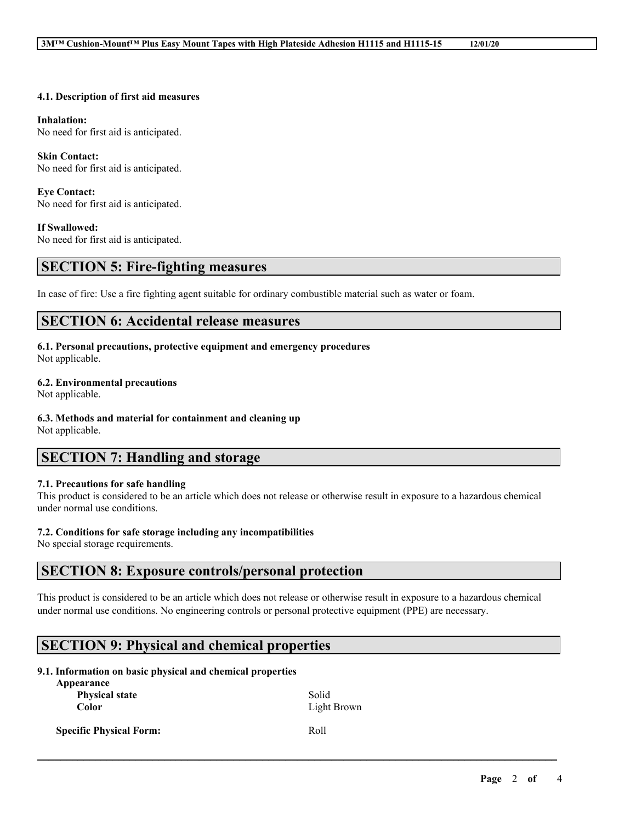#### **4.1. Description of first aid measures**

#### **Inhalation:**

No need for first aid is anticipated.

#### **Skin Contact:**

No need for first aid is anticipated.

# **Eye Contact:**

No need for first aid is anticipated.

#### **If Swallowed:**

No need for first aid is anticipated.

### **SECTION 5: Fire-fighting measures**

In case of fire: Use a fire fighting agent suitable for ordinary combustible material such as water or foam.

### **SECTION 6: Accidental release measures**

### **6.1. Personal precautions, protective equipment and emergency procedures**

Not applicable.

#### **6.2. Environmental precautions**

Not applicable.

#### **6.3. Methods and material for containment and cleaning up**

Not applicable.

# **SECTION 7: Handling and storage**

#### **7.1. Precautions for safe handling**

This product is considered to be an article which does not release or otherwise result in exposure to a hazardous chemical under normal use conditions.

#### **7.2. Conditions for safe storage including any incompatibilities**

No special storage requirements.

### **SECTION 8: Exposure controls/personal protection**

This product is considered to be an article which does not release or otherwise result in exposure to a hazardous chemical under normal use conditions. No engineering controls or personal protective equipment (PPE) are necessary.

 $\mathcal{L}_\mathcal{L} = \mathcal{L}_\mathcal{L} = \mathcal{L}_\mathcal{L} = \mathcal{L}_\mathcal{L} = \mathcal{L}_\mathcal{L} = \mathcal{L}_\mathcal{L} = \mathcal{L}_\mathcal{L} = \mathcal{L}_\mathcal{L} = \mathcal{L}_\mathcal{L} = \mathcal{L}_\mathcal{L} = \mathcal{L}_\mathcal{L} = \mathcal{L}_\mathcal{L} = \mathcal{L}_\mathcal{L} = \mathcal{L}_\mathcal{L} = \mathcal{L}_\mathcal{L} = \mathcal{L}_\mathcal{L} = \mathcal{L}_\mathcal{L}$ 

# **SECTION 9: Physical and chemical properties**

#### **9.1. Information on basic physical and chemical properties Appearance**

| <b>Appearance</b><br><b>Physical state</b><br><b>Color</b> | Solid<br>Light Brown |
|------------------------------------------------------------|----------------------|
| <b>Specific Physical Form:</b>                             | Roll                 |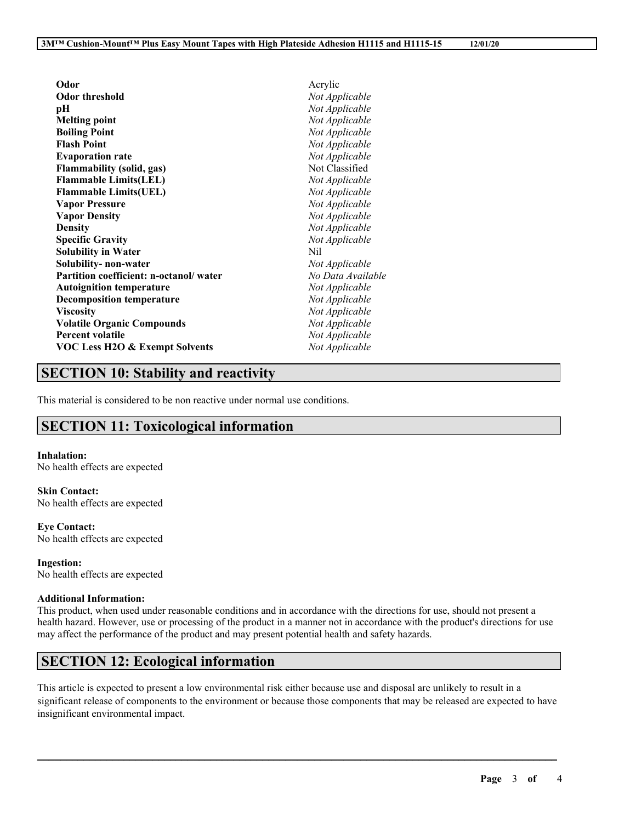| Odor                                      | Acrylic           |
|-------------------------------------------|-------------------|
| <b>Odor threshold</b>                     | Not Applicable    |
| pН                                        | Not Applicable    |
| <b>Melting point</b>                      | Not Applicable    |
| <b>Boiling Point</b>                      | Not Applicable    |
| <b>Flash Point</b>                        | Not Applicable    |
| <b>Evaporation rate</b>                   | Not Applicable    |
| <b>Flammability (solid, gas)</b>          | Not Classified    |
| <b>Flammable Limits(LEL)</b>              | Not Applicable    |
| <b>Flammable Limits(UEL)</b>              | Not Applicable    |
| <b>Vapor Pressure</b>                     | Not Applicable    |
| <b>Vapor Density</b>                      | Not Applicable    |
| <b>Density</b>                            | Not Applicable    |
| <b>Specific Gravity</b>                   | Not Applicable    |
| <b>Solubility in Water</b>                | Nil               |
| Solubility- non-water                     | Not Applicable    |
| Partition coefficient: n-octanol/water    | No Data Available |
| <b>Autoignition temperature</b>           | Not Applicable    |
| <b>Decomposition temperature</b>          | Not Applicable    |
| <b>Viscosity</b>                          | Not Applicable    |
| <b>Volatile Organic Compounds</b>         | Not Applicable    |
| <b>Percent volatile</b>                   | Not Applicable    |
| <b>VOC Less H2O &amp; Exempt Solvents</b> | Not Applicable    |

# **SECTION 10: Stability and reactivity**

This material is considered to be non reactive under normal use conditions.

# **SECTION 11: Toxicological information**

#### **Inhalation:**

No health effects are expected

**Skin Contact:** No health effects are expected

**Eye Contact:** No health effects are expected

**Ingestion:** No health effects are expected

#### **Additional Information:**

This product, when used under reasonable conditions and in accordance with the directions for use, should not present a health hazard. However, use or processing of the product in a manner not in accordance with the product's directions for use may affect the performance of the product and may present potential health and safety hazards.

# **SECTION 12: Ecological information**

This article is expected to present a low environmental risk either because use and disposal are unlikely to result in a significant release of components to the environment or because those components that may be released are expected to have insignificant environmental impact.

 $\mathcal{L}_\mathcal{L} = \mathcal{L}_\mathcal{L} = \mathcal{L}_\mathcal{L} = \mathcal{L}_\mathcal{L} = \mathcal{L}_\mathcal{L} = \mathcal{L}_\mathcal{L} = \mathcal{L}_\mathcal{L} = \mathcal{L}_\mathcal{L} = \mathcal{L}_\mathcal{L} = \mathcal{L}_\mathcal{L} = \mathcal{L}_\mathcal{L} = \mathcal{L}_\mathcal{L} = \mathcal{L}_\mathcal{L} = \mathcal{L}_\mathcal{L} = \mathcal{L}_\mathcal{L} = \mathcal{L}_\mathcal{L} = \mathcal{L}_\mathcal{L}$